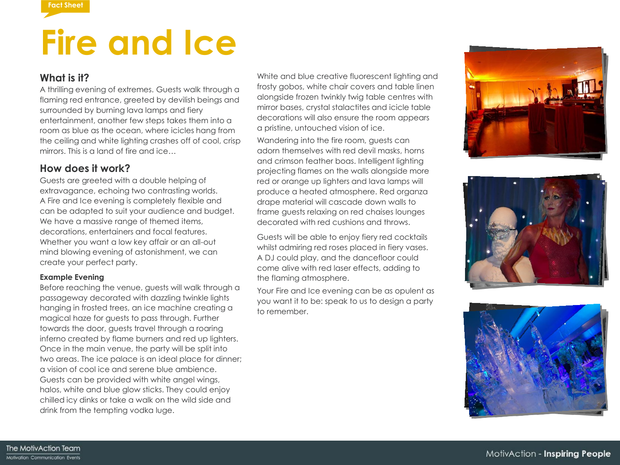

# **Fire and Ice**

### **What is it?**

A thrilling evening of extremes. Guests walk through a flaming red entrance, greeted by devilish beings and surrounded by burning lava lamps and fiery entertainment, another few steps takes them into a room as blue as the ocean, where icicles hang from the ceiling and white lighting crashes off of cool, crisp mirrors. This is a land of fire and ice

### **How does it work?**

Guests are greeted with a double helping of extravagance, echoing two contrasting worlds. A Fire and Ice evening is completely flexible and can be adapted to suit your audience and budget. We have a massive range of themed items, decorations, entertainers and focal features. Whether you want a low key affair or an all-out mind blowing evening of astonishment, we can create your perfect party.

#### **Example Evening**

Before reaching the venue, guests will walk through a passageway decorated with dazzling twinkle lights hanging in frosted trees, an ice machine creating a magical haze for guests to pass through. Further towards the door, guests travel through a roaring inferno created by flame burners and red up lighters. Once in the main venue, the party will be split into two areas. The ice palace is an ideal place for dinner; a vision of cool ice and serene blue ambience. Guests can be provided with white angel wings, halos, white and blue glow sticks. They could enjoy chilled icy dinks or take a walk on the wild side and drink from the tempting vodka luge.

White and blue creative fluorescent lighting and frosty gobos, white chair covers and table linen alongside frozen twinkly twig table centres with mirror bases, crystal stalactites and icicle table decorations will also ensure the room appears a pristine, untouched vision of ice.

Wandering into the fire room, guests can adorn themselves with red devil masks, horns and crimson feather boas. Intelligent lighting projecting flames on the walls alongside more red or orange up lighters and lava lamps will produce a heated atmosphere. Red organza drape material will cascade down walls to frame guests relaxing on red chaises lounges decorated with red cushions and throws.

Guests will be able to enjoy fiery red cocktails whilst admiring red roses placed in fiery vases. A DJ could play, and the dancefloor could come alive with red laser effects, adding to the flaming atmosphere.

Your Fire and Ice evening can be as opulent as you want it to be: speak to us to design a party to remember.